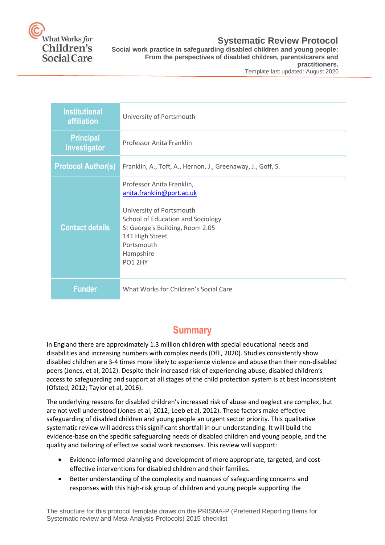

### **Systematic Review Protocol**

**Social work practice in safeguarding disabled children and young people: From the perspectives of disabled children, parents/carers and practitioners.**

Template last updated: August 2020

| <b>Institutional</b><br><b>affiliation</b> | University of Portsmouth                                                                                                                                                                                            |
|--------------------------------------------|---------------------------------------------------------------------------------------------------------------------------------------------------------------------------------------------------------------------|
| <b>Principal</b><br>Investigator           | Professor Anita Franklin                                                                                                                                                                                            |
| <b>Protocol Author(s)</b>                  | Franklin, A., Toft, A., Hernon, J., Greenaway, J., Goff, S.                                                                                                                                                         |
| <b>Contact details</b>                     | Professor Anita Franklin,<br>anita.franklin@port.ac.uk<br>University of Portsmouth<br>School of Education and Sociology<br>St George's Building, Room 2.05<br>141 High Street<br>Portsmouth<br>Hampshire<br>PO1 2HY |
| <b>Funder</b>                              | What Works for Children's Social Care                                                                                                                                                                               |

## **Summary**

In England there are approximately 1.3 million children with special educational needs and disabilities and increasing numbers with complex needs (DfE, 2020). Studies consistently show disabled children are 3-4 times more likely to experience violence and abuse than their non-disabled peers (Jones, et al, 2012). Despite their increased risk of experiencing abuse, disabled children's access to safeguarding and support at all stages of the child protection system is at best inconsistent (Ofsted, 2012; Taylor et al, 2016).

The underlying reasons for disabled children's increased risk of abuse and neglect are complex, but are not well understood (Jones et al, 2012; Leeb et al, 2012). These factors make effective safeguarding of disabled children and young people an urgent sector priority. This qualitative systematic review will address this significant shortfall in our understanding. It will build the evidence-base on the specific safeguarding needs of disabled children and young people, and the quality and tailoring of effective social work responses. This review will support:

- Evidence-informed planning and development of more appropriate, targeted, and costeffective interventions for disabled children and their families.
- Better understanding of the complexity and nuances of safeguarding concerns and responses with this high-risk group of children and young people supporting the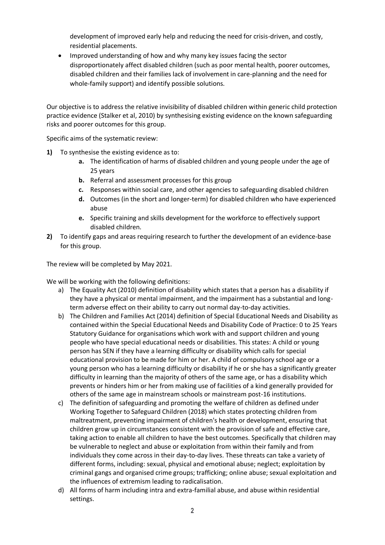development of improved early help and reducing the need for crisis-driven, and costly, residential placements.

 Improved understanding of how and why many key issues facing the sector disproportionately affect disabled children (such as poor mental health, poorer outcomes, disabled children and their families lack of involvement in care-planning and the need for whole-family support) and identify possible solutions.

Our objective is to address the relative invisibility of disabled children within generic child protection practice evidence (Stalker et al, 2010) by synthesising existing evidence on the known safeguarding risks and poorer outcomes for this group.

Specific aims of the systematic review:

- **1)** To synthesise the existing evidence as to:
	- **a.** The identification of harms of disabled children and young people under the age of 25 years
	- **b.** Referral and assessment processes for this group
	- **c.** Responses within social care, and other agencies to safeguarding disabled children
	- **d.** Outcomes (in the short and longer-term) for disabled children who have experienced abuse
	- **e.** Specific training and skills development for the workforce to effectively support disabled children.
- **2)** To identify gaps and areas requiring research to further the development of an evidence-base for this group.

The review will be completed by May 2021.

We will be working with the following definitions:

- a) The Equality Act (2010) definition of disability which states that a person has a disability if they have a physical or mental impairment, and the impairment has a substantial and longterm adverse effect on their ability to carry out normal day-to-day activities.
- b) The Children and Families Act (2014) definition of Special Educational Needs and Disability as contained within the Special Educational Needs and Disability Code of Practice: 0 to 25 Years Statutory Guidance for organisations which work with and support children and young people who have special educational needs or disabilities. This states: A child or young person has SEN if they have a learning difficulty or disability which calls for special educational provision to be made for him or her. A child of compulsory school age or a young person who has a learning difficulty or disability if he or she has a significantly greater difficulty in learning than the majority of others of the same age, or has a disability which prevents or hinders him or her from making use of facilities of a kind generally provided for others of the same age in mainstream schools or mainstream post-16 institutions.
- c) The definition of safeguarding and promoting the welfare of children as defined under Working Together to Safeguard Children (2018) which states protecting children from maltreatment, preventing impairment of children's health or development, ensuring that children grow up in circumstances consistent with the provision of safe and effective care, taking action to enable all children to have the best outcomes. Specifically that children may be vulnerable to neglect and abuse or exploitation from within their family and from individuals they come across in their day-to-day lives. These threats can take a variety of different forms, including: sexual, physical and emotional abuse; neglect; exploitation by criminal gangs and organised crime groups; trafficking; online abuse; sexual exploitation and the influences of extremism leading to radicalisation.
- d) All forms of harm including intra and extra-familial abuse, and abuse within residential settings.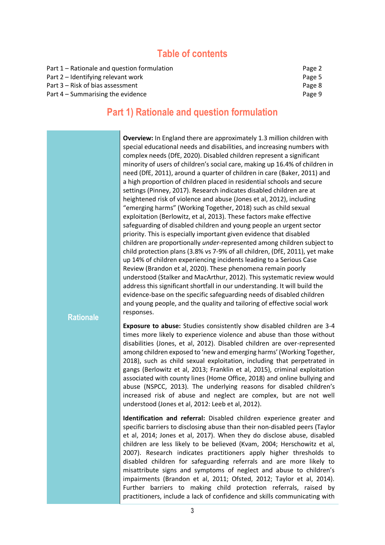### **Table of contents**

| Part 1 – Rationale and question formulation | Page 2 |
|---------------------------------------------|--------|
| Part 2 – Identifying relevant work          | Page 5 |
| Part 3 – Risk of bias assessment            | Page 8 |
| Part 4 – Summarising the evidence           | Page 9 |

### **Part 1) Rationale and question formulation**

**Rationale Overview:** In England there are approximately 1.3 million children with special educational needs and disabilities, and increasing numbers with complex needs (DfE, 2020). Disabled children represent a significant minority of users of children's social care, making up 16.4% of children in need (DfE, 2011), around a quarter of children in care (Baker, 2011) and a high proportion of children placed in residential schools and secure settings (Pinney, 2017). Research indicates disabled children are at heightened risk of violence and abuse (Jones et al, 2012), including "emerging harms" (Working Together, 2018) such as child sexual exploitation (Berlowitz, et al, 2013). These factors make effective safeguarding of disabled children and young people an urgent sector priority. This is especially important given evidence that disabled children are proportionally *under*-represented among children subject to child protection plans (3.8% vs 7-9% of all children, (DfE, 2011), yet make up 14% of children experiencing incidents leading to a Serious Case Review (Brandon et al, 2020). These phenomena remain poorly understood (Stalker and MacArthur, 2012). This systematic review would address this significant shortfall in our understanding. It will build the evidence-base on the specific safeguarding needs of disabled children and young people, and the quality and tailoring of effective social work responses. **Exposure to abuse:** Studies consistently show disabled children are 3-4 times more likely to experience violence and abuse than those without disabilities (Jones, et al, 2012). Disabled children are over-represented among children exposed to 'new and emerging harms' (Working Together, 2018), such as child sexual exploitation, including that perpetrated in gangs (Berlowitz et al, 2013; Franklin et al, 2015), criminal exploitation associated with county lines (Home Office, 2018) and online bullying and abuse (NSPCC, 2013). The underlying reasons for disabled children's increased risk of abuse and neglect are complex, but are not well understood (Jones et al, 2012: Leeb et al, 2012). **Identification and referral:** Disabled children experience greater and specific barriers to disclosing abuse than their non-disabled peers (Taylor et al, 2014; Jones et al, 2017). When they do disclose abuse, disabled children are less likely to be believed (Kvam, 2004; Herschowitz et al, 2007). Research indicates practitioners apply higher thresholds to disabled children for safeguarding referrals and are more likely to misattribute signs and symptoms of neglect and abuse to children's impairments (Brandon et al, 2011; Ofsted, 2012; Taylor et al, 2014). Further barriers to making child protection referrals, raised by practitioners, include a lack of confidence and skills communicating with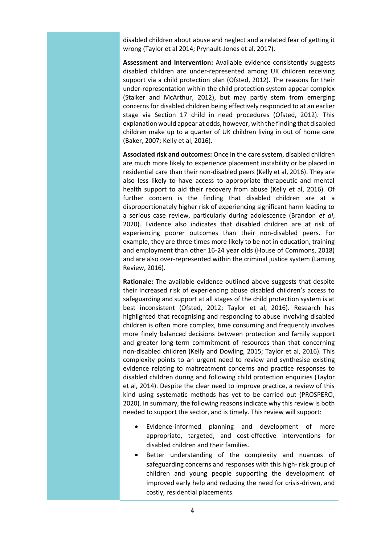disabled children about abuse and neglect and a related fear of getting it wrong (Taylor et al 2014; Prynault-Jones et al, 2017).

**Assessment and Intervention:** Available evidence consistently suggests disabled children are under-represented among UK children receiving support via a child protection plan (Ofsted, 2012). The reasons for their under-representation within the child protection system appear complex (Stalker and McArthur, 2012), but may partly stem from emerging concerns for disabled children being effectively responded to at an earlier stage via Section 17 child in need procedures (Ofsted, 2012). This explanation would appear at odds, however, with the finding that disabled children make up to a quarter of UK children living in out of home care (Baker, 2007; Kelly et al, 2016).

**Associated risk and outcomes:** Once in the care system, disabled children are much more likely to experience placement instability or be placed in residential care than their non-disabled peers (Kelly et al, 2016). They are also less likely to have access to appropriate therapeutic and mental health support to aid their recovery from abuse (Kelly et al, 2016). Of further concern is the finding that disabled children are at a disproportionately higher risk of experiencing significant harm leading to a serious case review, particularly during adolescence (Brandon *et al*, 2020). Evidence also indicates that disabled children are at risk of experiencing poorer outcomes than their non-disabled peers. For example, they are three times more likely to be not in education, training and employment than other 16-24 year olds (House of Commons, 2018) and are also over-represented within the criminal justice system (Laming Review, 2016).

**Rationale:** The available evidence outlined above suggests that despite their increased risk of experiencing abuse disabled children's access to safeguarding and support at all stages of the child protection system is at best inconsistent (Ofsted, 2012; Taylor et al, 2016). Research has highlighted that recognising and responding to abuse involving disabled children is often more complex, time consuming and frequently involves more finely balanced decisions between protection and family support and greater long-term commitment of resources than that concerning non-disabled children (Kelly and Dowling, 2015; Taylor et al, 2016). This complexity points to an urgent need to review and synthesise existing evidence relating to maltreatment concerns and practice responses to disabled children during and following child protection enquiries (Taylor et al, 2014). Despite the clear need to improve practice, a review of this kind using systematic methods has yet to be carried out (PROSPERO, 2020). In summary, the following reasons indicate why this review is both needed to support the sector, and is timely. This review will support:

- Evidence-informed planning and development of more appropriate, targeted, and cost-effective interventions for disabled children and their families.
- Better understanding of the complexity and nuances of safeguarding concerns and responses with this high- risk group of children and young people supporting the development of improved early help and reducing the need for crisis-driven, and costly, residential placements.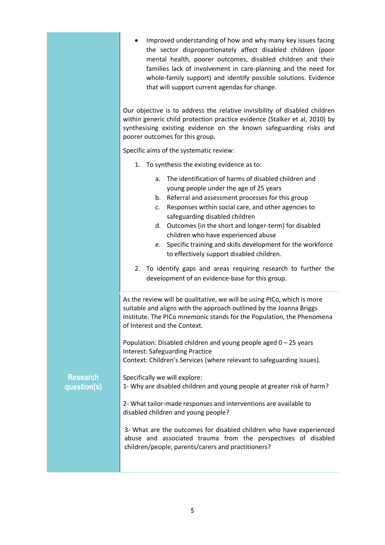|                                | Improved understanding of how and why many key issues facing<br>the sector disproportionately affect disabled children (poor<br>mental health, poorer outcomes, disabled children and their<br>families lack of involvement in care-planning and the need for<br>whole-family support) and identify possible solutions. Evidence<br>that will support current agendas for change.                                                                                                   |
|--------------------------------|-------------------------------------------------------------------------------------------------------------------------------------------------------------------------------------------------------------------------------------------------------------------------------------------------------------------------------------------------------------------------------------------------------------------------------------------------------------------------------------|
|                                | Our objective is to address the relative invisibility of disabled children<br>within generic child protection practice evidence (Stalker et al, 2010) by<br>synthesising existing evidence on the known safeguarding risks and<br>poorer outcomes for this group.                                                                                                                                                                                                                   |
|                                | Specific aims of the systematic review:                                                                                                                                                                                                                                                                                                                                                                                                                                             |
|                                | To synthesis the existing evidence as to:<br>1.                                                                                                                                                                                                                                                                                                                                                                                                                                     |
|                                | The identification of harms of disabled children and<br>a.<br>young people under the age of 25 years<br>Referral and assessment processes for this group<br>b.<br>Responses within social care, and other agencies to<br>c.<br>safeguarding disabled children<br>Outcomes (in the short and longer-term) for disabled<br>d.<br>children who have experienced abuse<br>Specific training and skills development for the workforce<br>e.<br>to effectively support disabled children. |
|                                | To identify gaps and areas requiring research to further the<br>2.<br>development of an evidence-base for this group.                                                                                                                                                                                                                                                                                                                                                               |
|                                | As the review will be qualitative, we will be using PICo, which is more<br>suitable and aligns with the approach outlined by the Joanna Briggs<br>Institute. The PICo mnemonic stands for the Population, the Phenomena<br>of Interest and the Context.                                                                                                                                                                                                                             |
|                                | Population: Disabled children and young people aged $0 - 25$ years<br><b>Interest: Safeguarding Practice</b><br>Context: Children's Services (where relevant to safeguarding issues).                                                                                                                                                                                                                                                                                               |
| <b>Research</b><br>question(s) | Specifically we will explore:<br>1- Why are disabled children and young people at greater risk of harm?                                                                                                                                                                                                                                                                                                                                                                             |
|                                | 2- What tailor-made responses and interventions are available to<br>disabled children and young people?                                                                                                                                                                                                                                                                                                                                                                             |
|                                | 3- What are the outcomes for disabled children who have experienced<br>abuse and associated trauma from the perspectives of disabled<br>children/people, parents/carers and practitioners?                                                                                                                                                                                                                                                                                          |
|                                |                                                                                                                                                                                                                                                                                                                                                                                                                                                                                     |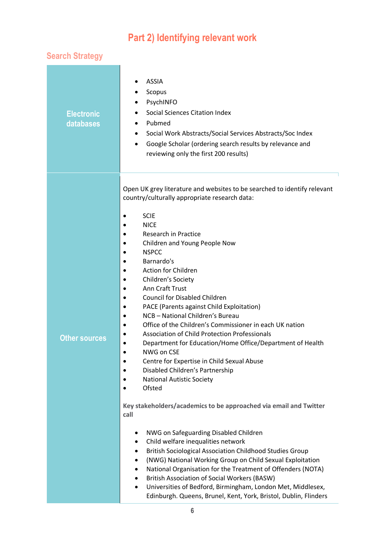# **Part 2) Identifying relevant work**

# **Search Strategy**

| <b>Electronic</b><br>databases | <b>ASSIA</b><br>Scopus<br>PsychINFO<br><b>Social Sciences Citation Index</b><br>Pubmed<br>Social Work Abstracts/Social Services Abstracts/Soc Index<br>$\bullet$<br>Google Scholar (ordering search results by relevance and<br>$\bullet$<br>reviewing only the first 200 results)                                                                                                                                                                                                                                                                                                                                                                                                                                                                                                                                                                                                                                                                                                                                                                                                                                                                                                                                                                                                                                                                                                                                                               |
|--------------------------------|--------------------------------------------------------------------------------------------------------------------------------------------------------------------------------------------------------------------------------------------------------------------------------------------------------------------------------------------------------------------------------------------------------------------------------------------------------------------------------------------------------------------------------------------------------------------------------------------------------------------------------------------------------------------------------------------------------------------------------------------------------------------------------------------------------------------------------------------------------------------------------------------------------------------------------------------------------------------------------------------------------------------------------------------------------------------------------------------------------------------------------------------------------------------------------------------------------------------------------------------------------------------------------------------------------------------------------------------------------------------------------------------------------------------------------------------------|
| <b>Other sources</b>           | Open UK grey literature and websites to be searched to identify relevant<br>country/culturally appropriate research data:<br><b>SCIE</b><br><b>NICE</b><br><b>Research in Practice</b><br>Children and Young People Now<br><b>NSPCC</b><br>Barnardo's<br><b>Action for Children</b><br>Children's Society<br><b>Ann Craft Trust</b><br><b>Council for Disabled Children</b><br>$\bullet$<br>PACE (Parents against Child Exploitation)<br>NCB - National Children's Bureau<br>$\bullet$<br>Office of the Children's Commissioner in each UK nation<br>$\bullet$<br><b>Association of Child Protection Professionals</b><br>Department for Education/Home Office/Department of Health<br>NWG on CSE<br>Centre for Expertise in Child Sexual Abuse<br>٠<br>Disabled Children's Partnership<br><b>National Autistic Society</b><br>Ofsted<br>Key stakeholders/academics to be approached via email and Twitter<br>call<br>NWG on Safeguarding Disabled Children<br>Child welfare inequalities network<br>٠<br><b>British Sociological Association Childhood Studies Group</b><br>$\bullet$<br>(NWG) National Working Group on Child Sexual Exploitation<br>$\bullet$<br>National Organisation for the Treatment of Offenders (NOTA)<br>٠<br><b>British Association of Social Workers (BASW)</b><br>٠<br>Universities of Bedford, Birmingham, London Met, Middlesex,<br>$\bullet$<br>Edinburgh. Queens, Brunel, Kent, York, Bristol, Dublin, Flinders |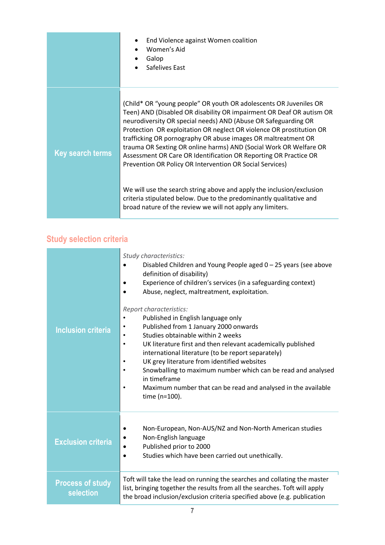|                         | End Violence against Women coalition<br>Women's Aid<br>Galop<br>Safelives East                                                                                                                                                                                                                                                                                                                                                                                                                                                                                                                                                     |
|-------------------------|------------------------------------------------------------------------------------------------------------------------------------------------------------------------------------------------------------------------------------------------------------------------------------------------------------------------------------------------------------------------------------------------------------------------------------------------------------------------------------------------------------------------------------------------------------------------------------------------------------------------------------|
| <b>Key search terms</b> | (Child* OR "young people" OR youth OR adolescents OR Juveniles OR<br>Teen) AND (Disabled OR disability OR impairment OR Deaf OR autism OR<br>neurodiversity OR special needs) AND (Abuse OR Safeguarding OR<br>Protection OR exploitation OR neglect OR violence OR prostitution OR<br>trafficking OR pornography OR abuse images OR maltreatment OR<br>trauma OR Sexting OR online harms) AND (Social Work OR Welfare OR<br>Assessment OR Care OR Identification OR Reporting OR Practice OR<br>Prevention OR Policy OR Intervention OR Social Services)<br>We will use the search string above and apply the inclusion/exclusion |
|                         | criteria stipulated below. Due to the predominantly qualitative and<br>broad nature of the review we will not apply any limiters.                                                                                                                                                                                                                                                                                                                                                                                                                                                                                                  |

# **Study selection criteria**

| <b>Inclusion criteria</b>            | Study characteristics:<br>Disabled Children and Young People aged $0 - 25$ years (see above<br>definition of disability)<br>Experience of children's services (in a safeguarding context)<br>Abuse, neglect, maltreatment, exploitation.<br>Report characteristics:<br>Published in English language only<br>Published from 1 January 2000 onwards<br>Studies obtainable within 2 weeks<br>UK literature first and then relevant academically published<br>$\bullet$<br>international literature (to be report separately)<br>UK grey literature from identified websites<br>Snowballing to maximum number which can be read and analysed<br>in timeframe<br>Maximum number that can be read and analysed in the available<br>time (n=100). |
|--------------------------------------|---------------------------------------------------------------------------------------------------------------------------------------------------------------------------------------------------------------------------------------------------------------------------------------------------------------------------------------------------------------------------------------------------------------------------------------------------------------------------------------------------------------------------------------------------------------------------------------------------------------------------------------------------------------------------------------------------------------------------------------------|
| <b>Exclusion criteria</b>            | Non-European, Non-AUS/NZ and Non-North American studies<br>Non-English language<br>Published prior to 2000<br>Studies which have been carried out unethically.                                                                                                                                                                                                                                                                                                                                                                                                                                                                                                                                                                              |
| <b>Process of study</b><br>selection | Toft will take the lead on running the searches and collating the master<br>list, bringing together the results from all the searches. Toft will apply<br>the broad inclusion/exclusion criteria specified above (e.g. publication                                                                                                                                                                                                                                                                                                                                                                                                                                                                                                          |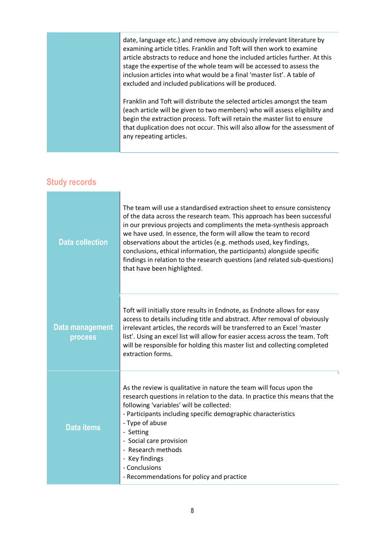date, language etc.) and remove any obviously irrelevant literature by examining article titles. Franklin and Toft will then work to examine article abstracts to reduce and hone the included articles further. At this stage the expertise of the whole team will be accessed to assess the inclusion articles into what would be a final 'master list'. A table of excluded and included publications will be produced. Franklin and Toft will distribute the selected articles amongst the team (each article will be given to two members) who will assess eligibility and begin the extraction process. Toft will retain the master list to ensure that duplication does not occur. This will also allow for the assessment of

any repeating articles.

#### **Study records**

| <b>Data collection</b>     | The team will use a standardised extraction sheet to ensure consistency<br>of the data across the research team. This approach has been successful<br>in our previous projects and compliments the meta-synthesis approach<br>we have used. In essence, the form will allow the team to record<br>observations about the articles (e.g. methods used, key findings,<br>conclusions, ethical information, the participants) alongside specific<br>findings in relation to the research questions (and related sub-questions)<br>that have been highlighted. |
|----------------------------|------------------------------------------------------------------------------------------------------------------------------------------------------------------------------------------------------------------------------------------------------------------------------------------------------------------------------------------------------------------------------------------------------------------------------------------------------------------------------------------------------------------------------------------------------------|
| Data management<br>process | Toft will initially store results in Endnote, as Endnote allows for easy<br>access to details including title and abstract. After removal of obviously<br>irrelevant articles, the records will be transferred to an Excel 'master<br>list'. Using an excel list will allow for easier access across the team. Toft<br>will be responsible for holding this master list and collecting completed<br>extraction forms.                                                                                                                                      |
| <b>Data items</b>          | As the review is qualitative in nature the team will focus upon the<br>research questions in relation to the data. In practice this means that the<br>following 'variables' will be collected:<br>- Participants including specific demographic characteristics<br>- Type of abuse<br>- Setting<br>- Social care provision<br>- Research methods<br>- Key findings<br>- Conclusions<br>- Recommendations for policy and practice                                                                                                                           |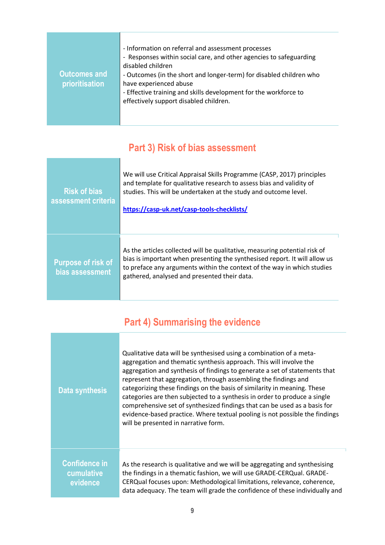| <b>Outcomes and</b><br>prioritisation | - Information on referral and assessment processes<br>- Responses within social care, and other agencies to safeguarding<br>disabled children<br>- Outcomes (in the short and longer-term) for disabled children who<br>have experienced abuse<br>- Effective training and skills development for the workforce to<br>effectively support disabled children. |
|---------------------------------------|--------------------------------------------------------------------------------------------------------------------------------------------------------------------------------------------------------------------------------------------------------------------------------------------------------------------------------------------------------------|
|---------------------------------------|--------------------------------------------------------------------------------------------------------------------------------------------------------------------------------------------------------------------------------------------------------------------------------------------------------------------------------------------------------------|

# **Part 3) Risk of bias assessment**

| <b>Risk of bias</b><br>assessment criteria   | We will use Critical Appraisal Skills Programme (CASP, 2017) principles<br>and template for qualitative research to assess bias and validity of<br>studies. This will be undertaken at the study and outcome level.<br>https://casp-uk.net/casp-tools-checklists/                   |
|----------------------------------------------|-------------------------------------------------------------------------------------------------------------------------------------------------------------------------------------------------------------------------------------------------------------------------------------|
| <b>Purpose of risk of</b><br>bias assessment | As the articles collected will be qualitative, measuring potential risk of<br>bias is important when presenting the synthesised report. It will allow us<br>to preface any arguments within the context of the way in which studies<br>gathered, analysed and presented their data. |

٦

# **Part 4) Summarising the evidence**

| Data synthesis                                 | Qualitative data will be synthesised using a combination of a meta-<br>aggregation and thematic synthesis approach. This will involve the<br>aggregation and synthesis of findings to generate a set of statements that<br>represent that aggregation, through assembling the findings and<br>categorizing these findings on the basis of similarity in meaning. These<br>categories are then subjected to a synthesis in order to produce a single<br>comprehensive set of synthesized findings that can be used as a basis for<br>evidence-based practice. Where textual pooling is not possible the findings<br>will be presented in narrative form. |
|------------------------------------------------|---------------------------------------------------------------------------------------------------------------------------------------------------------------------------------------------------------------------------------------------------------------------------------------------------------------------------------------------------------------------------------------------------------------------------------------------------------------------------------------------------------------------------------------------------------------------------------------------------------------------------------------------------------|
| <b>Confidence in</b><br>cumulative<br>evidence | As the research is qualitative and we will be aggregating and synthesising<br>the findings in a thematic fashion, we will use GRADE-CERQual. GRADE-<br>CERQual focuses upon: Methodological limitations, relevance, coherence,<br>data adequacy. The team will grade the confidence of these individually and                                                                                                                                                                                                                                                                                                                                           |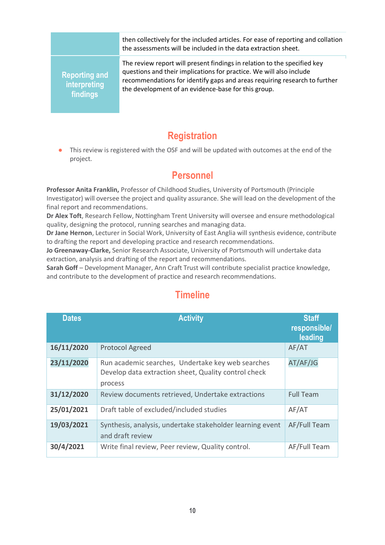then collectively for the included articles. For ease of reporting and collation the assessments will be included in the data extraction sheet.

**Reporting and interpreting findings**

The review report will present findings in relation to the specified key questions and their implications for practice. We will also include recommendations for identify gaps and areas requiring research to further the development of an evidence-base for this group.

## **Registration**

This review is registered with the OSF and will be updated with outcomes at the end of the project.

### **Personnel**

**Professor Anita Franklin,** Professor of Childhood Studies, University of Portsmouth (Principle Investigator) will oversee the project and quality assurance. She will lead on the development of the final report and recommendations.

**Dr Alex Toft**, Research Fellow, Nottingham Trent University will oversee and ensure methodological quality, designing the protocol, running searches and managing data.

**Dr Jane Hernon**, Lecturer in Social Work, University of East Anglia will synthesis evidence, contribute to drafting the report and developing practice and research recommendations.

**Jo Greenaway-Clarke,** Senior Research Associate, University of Portsmouth will undertake data extraction, analysis and drafting of the report and recommendations.

**Sarah Goff** – Development Manager, Ann Craft Trust will contribute specialist practice knowledge, and contribute to the development of practice and research recommendations.

| <b>Dates</b> | <b>Activity</b>                                                                                                      | <b>Staff</b><br>responsible/<br>leading |
|--------------|----------------------------------------------------------------------------------------------------------------------|-----------------------------------------|
| 16/11/2020   | <b>Protocol Agreed</b>                                                                                               | AF/AT                                   |
| 23/11/2020   | Run academic searches, Undertake key web searches<br>Develop data extraction sheet, Quality control check<br>process | AT/AF/JG                                |
| 31/12/2020   | Review documents retrieved, Undertake extractions                                                                    | <b>Full Team</b>                        |
| 25/01/2021   | Draft table of excluded/included studies                                                                             | AF/AT                                   |
| 19/03/2021   | Synthesis, analysis, undertake stakeholder learning event<br>and draft review                                        | AF/Full Team                            |
| 30/4/2021    | Write final review, Peer review, Quality control.                                                                    | AF/Full Team                            |

# **Timeline**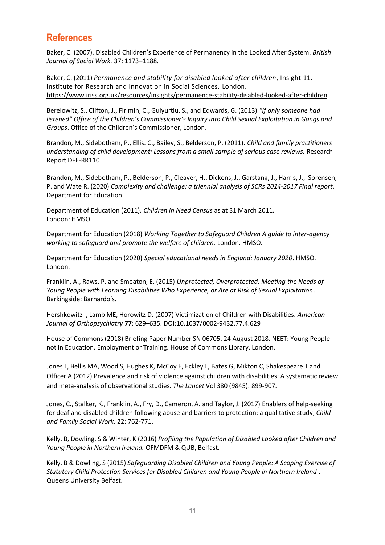## **References**

Baker, C. (2007). Disabled Children's Experience of Permanency in the Looked After System. *British Journal of Social Work.* 37: 1173–1188.

Baker, C. (2011) *Permanence and stability for disabled looked after children,* Insight 11. Institute for Research and Innovation in Social Sciences. London. <https://www.iriss.org.uk/resources/insights/permanence-stability-disabled-looked-after-children>

Berelowitz, S., Clifton, J., Firimin, C., Gulyurtlu, S., and Edwards, G. (2013) *"If only someone had listened" Office of the Children's Commissioner's Inquiry into Child Sexual Exploitation in Gangs and Groups*. Office of the Children's Commissioner, London.

Brandon, M., Sidebotham, P., Ellis. C., Bailey, S., Belderson, P. (2011). *Child and family practitioners understanding of child development: Lessons from a small sample of serious case reviews.* Research Report DFE-RR110

Brandon, M., Sidebotham, P., Belderson, P., Cleaver, H., Dickens, J., Garstang, J., Harris, J., Sorensen, P. and Wate R. (2020) *Complexity and challenge: a triennial analysis of SCRs 2014-2017 Final report*. Department for Education.

Department of Education (2011). *Children in Need Census* as at 31 March 2011. London: HMSO

Department for Education (2018) *Working Together to Safeguard Children A guide to inter-agency working to safeguard and promote the welfare of children.* London. HMSO.

Department for Education (2020) *Special educational needs in England: January 2020*. HMSO. London.

Franklin, A., Raws, P. and Smeaton, E. (2015) *Unprotected, Overprotected: Meeting the Needs of Young People with Learning Disabilities Who Experience, or Are at Risk of Sexual Exploitation*. Barkingside: Barnardo's.

Hershkowitz I, Lamb ME, Horowitz D. (2007) Victimization of Children with Disabilities. *American Journal of Orthopsychiatry* **77**: 629–635. DOI:10.1037/0002-9432.77.4.629

House of Commons (2018) Briefing Paper Number SN 06705, 24 August 2018. NEET: Young People not in Education, Employment or Training. House of Commons Library, London.

Jones L, Bellis MA, Wood S, Hughes K, McCoy E, Eckley L, Bates G, Mikton C, Shakespeare T and Officer A (2012) Prevalence and risk of violence against children with disabilities: A systematic review and meta-analysis of observational studies. *The Lancet* Vol 380 (9845): 899-907.

Jones, C., Stalker, K., Franklin, A., Fry, D., Cameron, A. and Taylor, J. (2017) Enablers of help-seeking for deaf and disabled children following abuse and barriers to protection: a qualitative study, *Child and Family Social Work*. 22: 762-771.

Kelly, B, Dowling, S & Winter, K (2016) *Profiling the Population of Disabled Looked after Children and Young People in Northern Ireland.* OFMDFM & QUB, Belfast.

Kelly, B & Dowling, S (2015) *Safeguarding Disabled Children and Young People: A Scoping Exercise of Statutory Child Protection Services for Disabled Children and Young People in Northern Ireland* . Queens University Belfast.